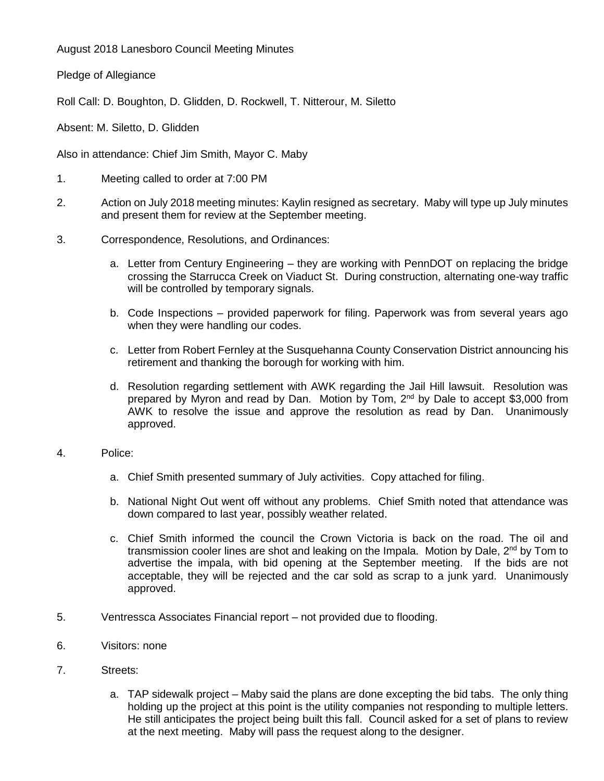August 2018 Lanesboro Council Meeting Minutes

Pledge of Allegiance

Roll Call: D. Boughton, D. Glidden, D. Rockwell, T. Nitterour, M. Siletto

Absent: M. Siletto, D. Glidden

Also in attendance: Chief Jim Smith, Mayor C. Maby

- 1. Meeting called to order at 7:00 PM
- 2. Action on July 2018 meeting minutes: Kaylin resigned as secretary. Maby will type up July minutes and present them for review at the September meeting.
- 3. Correspondence, Resolutions, and Ordinances:
	- a. Letter from Century Engineering they are working with PennDOT on replacing the bridge crossing the Starrucca Creek on Viaduct St. During construction, alternating one-way traffic will be controlled by temporary signals.
	- b. Code Inspections provided paperwork for filing. Paperwork was from several years ago when they were handling our codes.
	- c. Letter from Robert Fernley at the Susquehanna County Conservation District announcing his retirement and thanking the borough for working with him.
	- d. Resolution regarding settlement with AWK regarding the Jail Hill lawsuit. Resolution was prepared by Myron and read by Dan. Motion by Tom, 2<sup>nd</sup> by Dale to accept \$3,000 from AWK to resolve the issue and approve the resolution as read by Dan. Unanimously approved.
- 4. Police:
	- a. Chief Smith presented summary of July activities. Copy attached for filing.
	- b. National Night Out went off without any problems. Chief Smith noted that attendance was down compared to last year, possibly weather related.
	- c. Chief Smith informed the council the Crown Victoria is back on the road. The oil and transmission cooler lines are shot and leaking on the Impala. Motion by Dale,  $2^{nd}$  by Tom to advertise the impala, with bid opening at the September meeting. If the bids are not acceptable, they will be rejected and the car sold as scrap to a junk yard. Unanimously approved.
- 5. Ventressca Associates Financial report not provided due to flooding.
- 6. Visitors: none
- 7. Streets:
	- a. TAP sidewalk project Maby said the plans are done excepting the bid tabs. The only thing holding up the project at this point is the utility companies not responding to multiple letters. He still anticipates the project being built this fall. Council asked for a set of plans to review at the next meeting. Maby will pass the request along to the designer.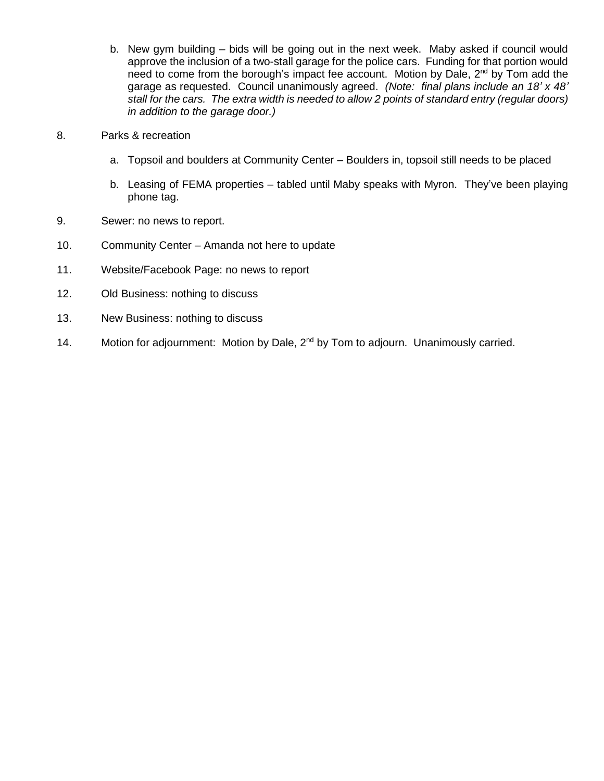- b. New gym building bids will be going out in the next week. Maby asked if council would approve the inclusion of a two-stall garage for the police cars. Funding for that portion would need to come from the borough's impact fee account. Motion by Dale, 2<sup>nd</sup> by Tom add the garage as requested. Council unanimously agreed. *(Note: final plans include an 18' x 48' stall for the cars. The extra width is needed to allow 2 points of standard entry (regular doors) in addition to the garage door.)*
- 8. Parks & recreation
	- a. Topsoil and boulders at Community Center Boulders in, topsoil still needs to be placed
	- b. Leasing of FEMA properties tabled until Maby speaks with Myron. They've been playing phone tag.
- 9. Sewer: no news to report.
- 10. Community Center Amanda not here to update
- 11. Website/Facebook Page: no news to report
- 12. Old Business: nothing to discuss
- 13. New Business: nothing to discuss
- 14. Motion for adjournment: Motion by Dale, 2<sup>nd</sup> by Tom to adjourn. Unanimously carried.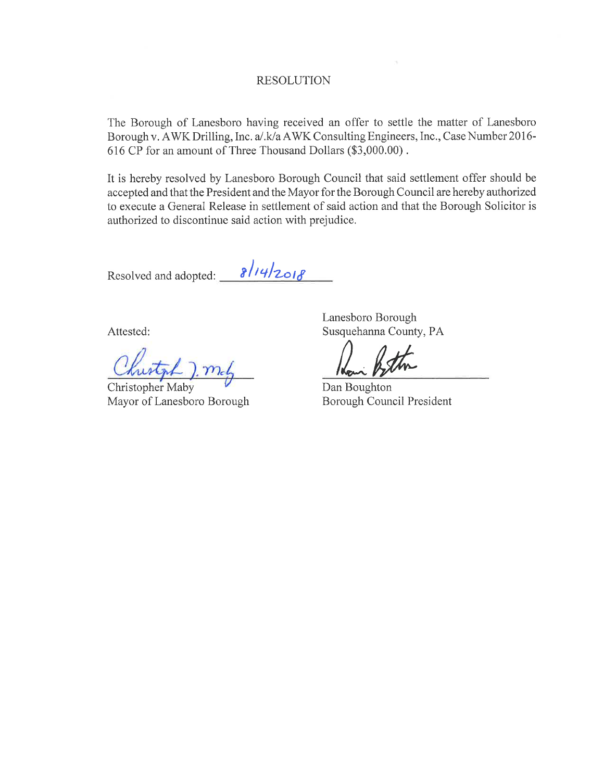#### **RESOLUTION**

The Borough of Lanesboro having received an offer to settle the matter of Lanesboro Borough v. AWK Drilling, Inc. a/.k/a AWK Consulting Engineers, Inc., Case Number 2016-616 CP for an amount of Three Thousand Dollars (\$3,000.00).

It is hereby resolved by Lanesboro Borough Council that said settlement offer should be accepted and that the President and the Mayor for the Borough Council are hereby authorized to execute a General Release in settlement of said action and that the Borough Solicitor is authorized to discontinue said action with prejudice.

Resolved and adopted:  $\frac{8/14}{2018}$ 

Attested:

mel

**Christopher Maby** Mayor of Lanesboro Borough

Lanesboro Borough Susquehanna County, PA

Dan Boughton Borough Council President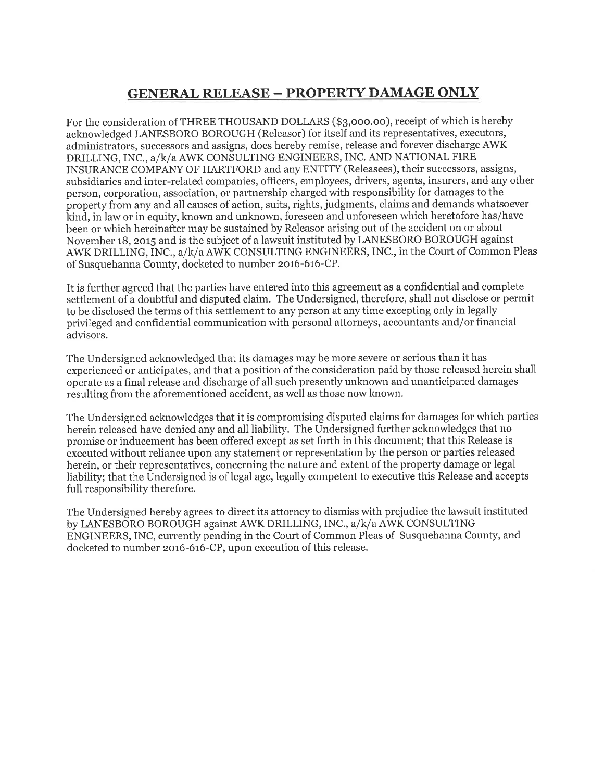# **GENERAL RELEASE - PROPERTY DAMAGE ONLY**

For the consideration of THREE THOUSAND DOLLARS (\$3,000.00), receipt of which is hereby acknowledged LANESBORO BOROUGH (Releasor) for itself and its representatives, executors, administrators, successors and assigns, does hereby remise, release and forever discharge AWK DRILLING, INC., a/k/a AWK CONSULTING ENGINEERS, INC. AND NATIONAL FIRE INSURANCE COMPANY OF HARTFORD and any ENTITY (Releasees), their successors, assigns, subsidiaries and inter-related companies, officers, employees, drivers, agents, insurers, and any other person, corporation, association, or partnership charged with responsibility for damages to the property from any and all causes of action, suits, rights, judgments, claims and demands whatsoever kind, in law or in equity, known and unknown, foreseen and unforeseen which heretofore has/have been or which hereinafter may be sustained by Releasor arising out of the accident on or about November 18, 2015 and is the subject of a lawsuit instituted by LANESBORO BOROUGH against AWK DRILLING, INC., a/k/a AWK CONSULTING ENGINEERS, INC., in the Court of Common Pleas of Susquehanna County, docketed to number 2016-616-CP.

It is further agreed that the parties have entered into this agreement as a confidential and complete settlement of a doubtful and disputed claim. The Undersigned, therefore, shall not disclose or permit to be disclosed the terms of this settlement to any person at any time excepting only in legally privileged and confidential communication with personal attorneys, accountants and/or financial advisors.

The Undersigned acknowledged that its damages may be more severe or serious than it has experienced or anticipates, and that a position of the consideration paid by those released herein shall operate as a final release and discharge of all such presently unknown and unanticipated damages resulting from the aforementioned accident, as well as those now known.

The Undersigned acknowledges that it is compromising disputed claims for damages for which parties herein released have denied any and all liability. The Undersigned further acknowledges that no promise or inducement has been offered except as set forth in this document; that this Release is executed without reliance upon any statement or representation by the person or parties released herein, or their representatives, concerning the nature and extent of the property damage or legal liability; that the Undersigned is of legal age, legally competent to executive this Release and accepts full responsibility therefore.

The Undersigned hereby agrees to direct its attorney to dismiss with prejudice the lawsuit instituted by LANESBORO BOROUGH against AWK DRILLING, INC., a/k/a AWK CONSULTING ENGINEERS, INC, currently pending in the Court of Common Pleas of Susquehanna County, and docketed to number 2016-616-CP, upon execution of this release.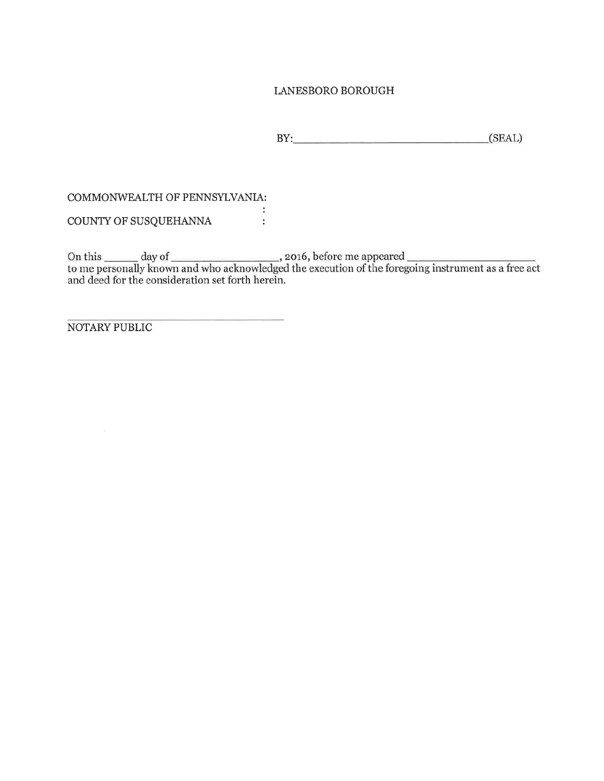### LANESBORO BOROUGH

BY: (SEAL)

#### COMMONWEALTH OF PENNSYLVANIA:

 $\sim 10^4$ COUNTY OF SUSQUEHANNA :

On this  $\_\_\_\_$  day of  $\_\_\_\_$ , 2016, before me appeared  $\_\_\_\_$  to me personally known and who acknowledged the execution of the foregoing instrument as a free act and deed for the consideration set forth herein.

NOTARY PUBLIC

 $\sim$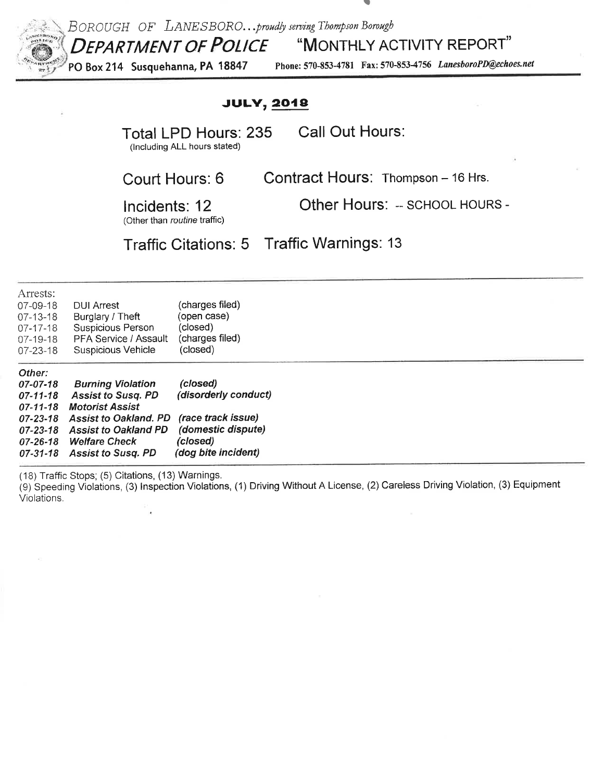

## BOROUGH OF LANESBORO...proudly serving Thompson Borough **DEPARTMENT OF POLICE** "MONTHLY ACTIVITY REPORT"

PO Box 214 Susquehanna, PA 18847 Phone: 570-853-4781 Fax: 570-853-4756 LanesboroPD@echoes.net

## **JULY, 2018**

**Total LPD Hours: 235** 

Call Out Hours:

(Including ALL hours stated)

Contract Hours: Thompson - 16 Hrs.

Court Hours: 6

Other Hours: -- SCHOOL HOURS -

Incidents: 12 (Other than routine traffic)

**Traffic Citations: 5 Traffic Warnings: 13** 

| Arrests:<br>07-09-18<br>$07 - 13 - 18$<br>$07 - 17 - 18$<br>07-19-18<br>$07 - 23 - 18$ | <b>DUI Arrest</b><br>Burglary / Theft<br>Suspicious Person<br>PFA Service / Assault<br>Suspicious Vehicle | (charges filed)<br>(open case)<br>(closed)<br>(charges filed)<br>(closed) |  |
|----------------------------------------------------------------------------------------|-----------------------------------------------------------------------------------------------------------|---------------------------------------------------------------------------|--|
| Other:<br>07-07-18                                                                     |                                                                                                           | (closed)                                                                  |  |
| $07 - 11 - 18$<br>$07 - 11 - 18$                                                       | <b>Burning Violation</b><br><b>Assist to Susq. PD</b><br><b>Motorist Assist</b>                           | (disorderly conduct)                                                      |  |
| $07 - 23 - 18$<br>$07 - 23 - 18$                                                       | <b>Assist to Oakland, PD</b><br><b>Assist to Oakland PD</b>                                               | (race track issue)<br>(domestic dispute)                                  |  |

(18) Traffic Stops; (5) Citations, (13) Warnings.

(9) Speeding Violations, (3) Inspection Violations, (1) Driving Without A License, (2) Careless Driving Violation, (3) Equipment Violations.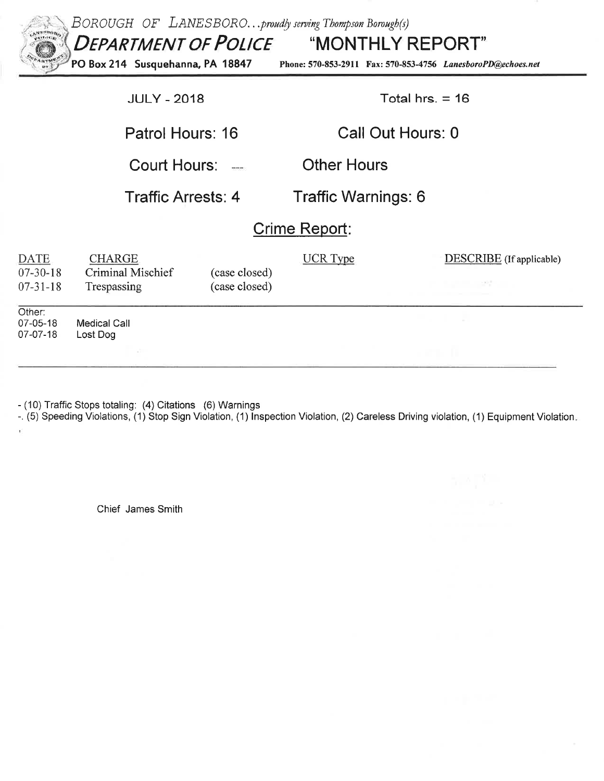| BOROUGH OF LANESBOROproudly serving Thompson Borough(s)<br>ANERHORO<br>$e^{tHd}$<br><b>DEPARTMENT OF POLICE "MONTHLY REPORT"</b><br>PO Box 214 Susquehanna, PA 18847<br>Phone: 570-853-2911 Fax: 570-853-4756 LanesboroPD@echoes.net |                                                   |                                |                     |                          |  |  |  |  |  |  |
|--------------------------------------------------------------------------------------------------------------------------------------------------------------------------------------------------------------------------------------|---------------------------------------------------|--------------------------------|---------------------|--------------------------|--|--|--|--|--|--|
|                                                                                                                                                                                                                                      | <b>JULY - 2018</b>                                |                                | Total hrs. $= 16$   |                          |  |  |  |  |  |  |
|                                                                                                                                                                                                                                      | Patrol Hours: 16                                  |                                | Call Out Hours: 0   |                          |  |  |  |  |  |  |
|                                                                                                                                                                                                                                      | Court Hours:                                      |                                | <b>Other Hours</b>  |                          |  |  |  |  |  |  |
|                                                                                                                                                                                                                                      | <b>Traffic Arrests: 4</b>                         |                                | Traffic Warnings: 6 |                          |  |  |  |  |  |  |
| Crime Report:                                                                                                                                                                                                                        |                                                   |                                |                     |                          |  |  |  |  |  |  |
| <b>DATE</b><br>$07 - 30 - 18$<br>$07 - 31 - 18$                                                                                                                                                                                      | <b>CHARGE</b><br>Criminal Mischief<br>Trespassing | (case closed)<br>(case closed) | <b>UCR</b> Type     | DESCRIBE (If applicable) |  |  |  |  |  |  |
| Other:<br>$07 - 05 - 18$<br>$07-07-18$                                                                                                                                                                                               | <b>Medical Call</b><br>Lost Dog                   |                                |                     |                          |  |  |  |  |  |  |
|                                                                                                                                                                                                                                      |                                                   |                                |                     |                          |  |  |  |  |  |  |

ŧ.

- (10) Traffic Stops totaling: (4) Citations (6) Warnings<br>-. (5) Speeding Violations, (1) Stop Sign Violation, (1) Inspection Violation, (2) Careless Driving violation, (1) Equipment Violation,

Chief James Smith